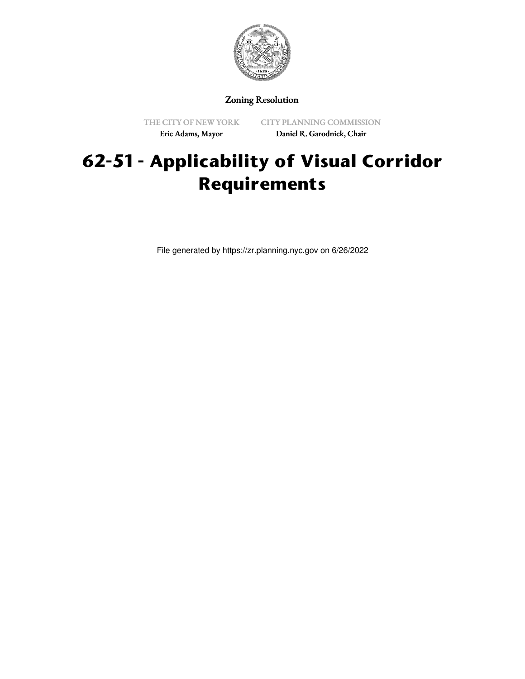

# Zoning Resolution

THE CITY OF NEW YORK Eric Adams, Mayor

CITY PLANNING COMMISSION Daniel R. Garodnick, Chair

# **62-51 - Applicability of Visual Corridor Requirements**

File generated by https://zr.planning.nyc.gov on 6/26/2022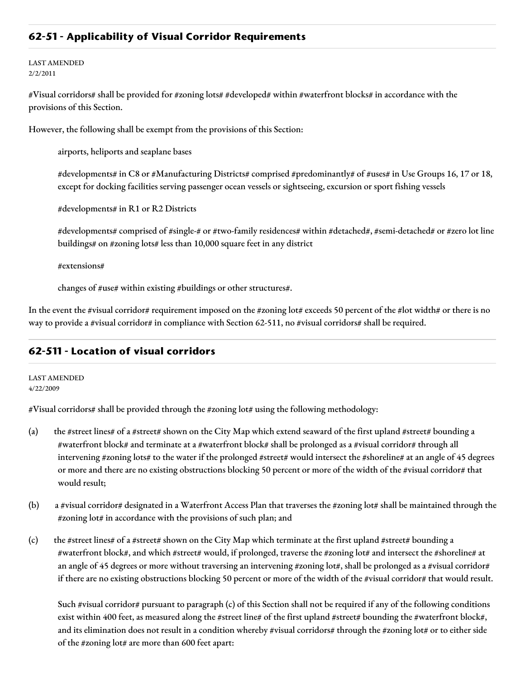# **62-51 - Applicability of Visual Corridor Requirements**

#### LAST AMENDED 2/2/2011

#Visual corridors# shall be provided for #zoning lots# #developed# within #waterfront blocks# in accordance with the provisions of this Section.

However, the following shall be exempt from the provisions of this Section:

airports, heliports and seaplane bases

#developments# in C8 or #Manufacturing Districts# comprised #predominantly# of #uses# in Use Groups 16, 17 or 18, except for docking facilities serving passenger ocean vessels or sightseeing, excursion or sport fishing vessels

#developments# in R1 or R2 Districts

#developments# comprised of #single-# or #two-family residences# within #detached#, #semi-detached# or #zero lot line buildings# on #zoning lots# less than 10,000 square feet in any district

#extensions#

changes of #use# within existing #buildings or other structures#.

In the event the #visual corridor# requirement imposed on the #zoning lot# exceeds 50 percent of the #lot width# or there is no way to provide a #visual corridor# in compliance with Section 62-511, no #visual corridors# shall be required.

## **62-511 - Location of visual corridors**

LAST AMENDED 4/22/2009

#Visual corridors# shall be provided through the #zoning lot# using the following methodology:

- (a) the #street lines# of a #street# shown on the City Map which extend seaward of the first upland #street# bounding a #waterfront block# and terminate at a #waterfront block# shall be prolonged as a #visual corridor# through all intervening #zoning lots# to the water if the prolonged #street# would intersect the #shoreline# at an angle of 45 degrees or more and there are no existing obstructions blocking 50 percent or more of the width of the #visual corridor# that would result;
- (b) a #visual corridor# designated in a Waterfront Access Plan that traverses the #zoning lot# shall be maintained through the #zoning lot# in accordance with the provisions of such plan; and
- (c) the #street lines# of a #street# shown on the City Map which terminate at the first upland #street# bounding a #waterfront block#, and which #street# would, if prolonged, traverse the #zoning lot# and intersect the #shoreline# at an angle of 45 degrees or more without traversing an intervening #zoning lot#, shall be prolonged as a #visual corridor# if there are no existing obstructions blocking 50 percent or more of the width of the #visual corridor# that would result.

Such #visual corridor# pursuant to paragraph (c) of this Section shall not be required if any of the following conditions exist within 400 feet, as measured along the #street line# of the first upland #street# bounding the #waterfront block#, and its elimination does not result in a condition whereby #visual corridors# through the #zoning lot# or to either side of the #zoning lot# are more than 600 feet apart: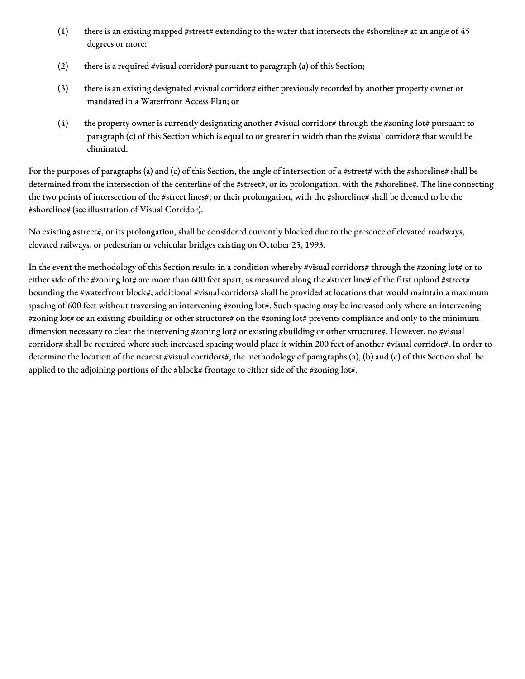- (1) there is an existing mapped #street# extending to the water that intersects the #shoreline# at an angle of  $45$ degrees or more;
- (2) there is a required #visual corridor# pursuant to paragraph (a) of this Section;
- (3) there is an existing designated #visual corridor# either previously recorded by another property owner or mandated in a Waterfront Access Plan; or
- (4) the property owner is currently designating another #visual corridor# through the #zoning lot# pursuant to paragraph (c) of this Section which is equal to or greater in width than the #visual corridor# that would be eliminated.

For the purposes of paragraphs (a) and (c) of this Section, the angle of intersection of a #street# with the #shoreline# shall be determined from the intersection of the centerline of the #street#, or its prolongation, with the #shoreline#. The line connecting the two points of intersection of the #street lines#, or their prolongation, with the #shoreline# shall be deemed to be the #shoreline# (see illustration of Visual Corridor).

No existing #street#, or its prolongation, shall be considered currently blocked due to the presence of elevated roadways, elevated railways, or pedestrian or vehicular bridges existing on October 25, 1993.

In the event the methodology of this Section results in a condition whereby #visual corridors# through the #zoning lot# or to either side of the #zoning lot# are more than 600 feet apart, as measured along the #street line# of the first upland #street# bounding the #waterfront block#, additional #visual corridors# shall be provided at locations that would maintain a maximum spacing of 600 feet without traversing an intervening #zoning lot#. Such spacing may be increased only where an intervening #zoning lot# or an existing #building or other structure# on the #zoning lot# prevents compliance and only to the minimum dimension necessary to clear the intervening #zoning lot# or existing #building or other structure#. However, no #visual corridor# shall be required where such increased spacing would place it within 200 feet of another #visual corridor#. In order to determine the location of the nearest #visual corridors#, the methodology of paragraphs (a), (b) and (c) of this Section shall be applied to the adjoining portions of the #block# frontage to either side of the #zoning lot#.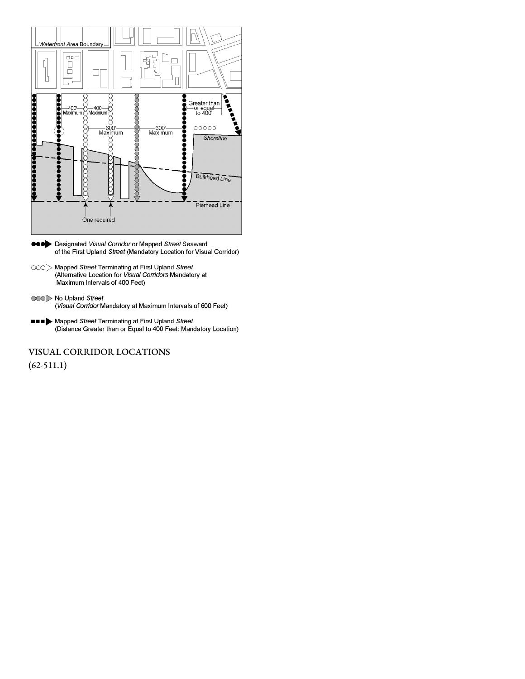

- eee Designated Visual Corridor or Mapped Street Seaward of the First Upland Street (Mandatory Location for Visual Corridor)
- OOO Mapped Street Terminating at First Upland Street (Alternative Location for Visual Corridors Mandatory at Maximum Intervals of 400 Feet)
- 000 No Upland Street (Visual Corridor Mandatory at Maximum Intervals of 600 Feet)
- **THE > Mapped Street Terminating at First Upland Street** (Distance Greater than or Equal to 400 Feet: Mandatory Location)

VISUAL CORRIDOR LOCATIONS  $(62-511.1)$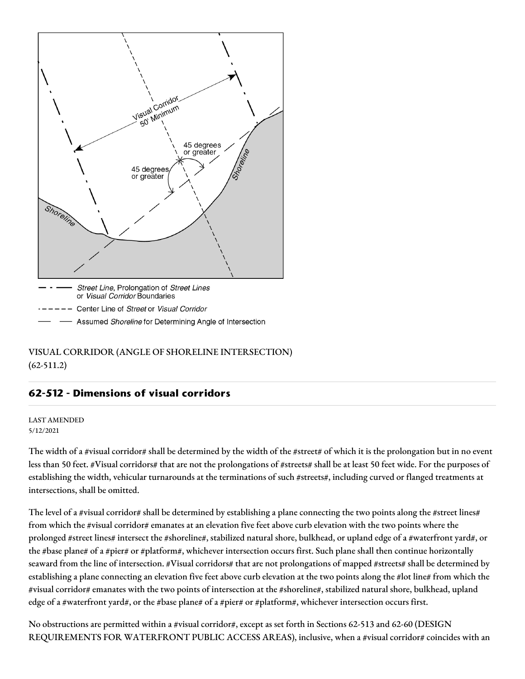

VISUAL CORRIDOR (ANGLE OF SHORELINE INTERSECTION) (62-511.2)

# **62-512 - Dimensions of visual corridors**

#### LAST AMENDED 5/12/2021

The width of a #visual corridor# shall be determined by the width of the #street# of which it is the prolongation but in no event less than 50 feet. #Visual corridors# that are not the prolongations of #streets# shall be at least 50 feet wide. For the purposes of establishing the width, vehicular turnarounds at the terminations of such #streets#, including curved or flanged treatments at intersections, shall be omitted.

The level of a #visual corridor# shall be determined by establishing a plane connecting the two points along the #street lines# from which the #visual corridor# emanates at an elevation five feet above curb elevation with the two points where the prolonged #street lines# intersect the #shoreline#, stabilized natural shore, bulkhead, or upland edge of a #waterfront yard#, or the #base plane# of a #pier# or #platform#, whichever intersection occurs first. Such plane shall then continue horizontally seaward from the line of intersection. #Visual corridors# that are not prolongations of mapped #streets# shall be determined by establishing a plane connecting an elevation five feet above curb elevation at the two points along the #lot line# from which the #visual corridor# emanates with the two points of intersection at the #shoreline#, stabilized natural shore, bulkhead, upland edge of a #waterfront yard#, or the #base plane# of a #pier# or #platform#, whichever intersection occurs first.

No obstructions are permitted within a #visual corridor#, except as set forth in Sections 62-513 and 62-60 (DESIGN REQUIREMENTS FOR WATERFRONT PUBLIC ACCESS AREAS), inclusive, when a #visual corridor# coincides with an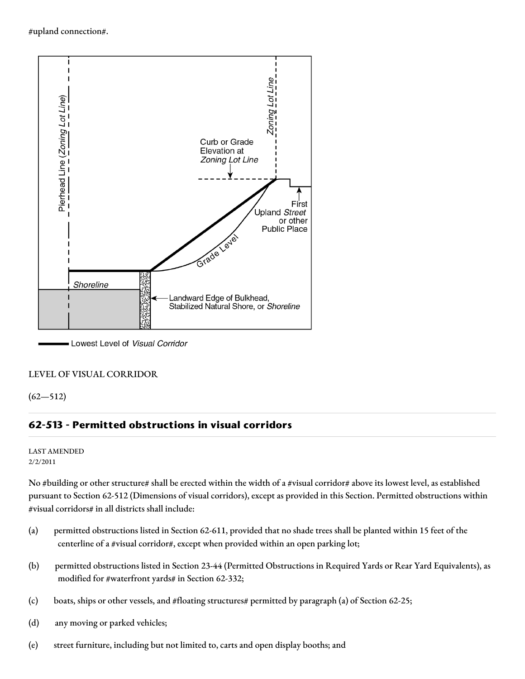#upland connection#.



Lowest Level of Visual Corridor

### LEVEL OF VISUAL CORRIDOR

 $(62 - 512)$ 

## **62-513 - Permitted obstructions in visual corridors**

#### LAST AMENDED 2/2/2011

No #building or other structure# shall be erected within the width of a #visual corridor# above its lowest level, as established pursuant to Section 62-512 (Dimensions of visual corridors), except as provided in this Section. Permitted obstructions within #visual corridors# in all districts shall include:

- (a) permitted obstructions listed in Section 62-611, provided that no shade trees shall be planted within 15 feet of the centerline of a #visual corridor#, except when provided within an open parking lot;
- (b) permitted obstructions listed in Section 23-44 (Permitted Obstructions in Required Yards or Rear Yard Equivalents), as modified for #waterfront yards# in Section 62-332;
- (c) boats, ships or other vessels, and #floating structures# permitted by paragraph (a) of Section 62-25;
- (d) any moving or parked vehicles;
- (e) street furniture, including but not limited to, carts and open display booths; and